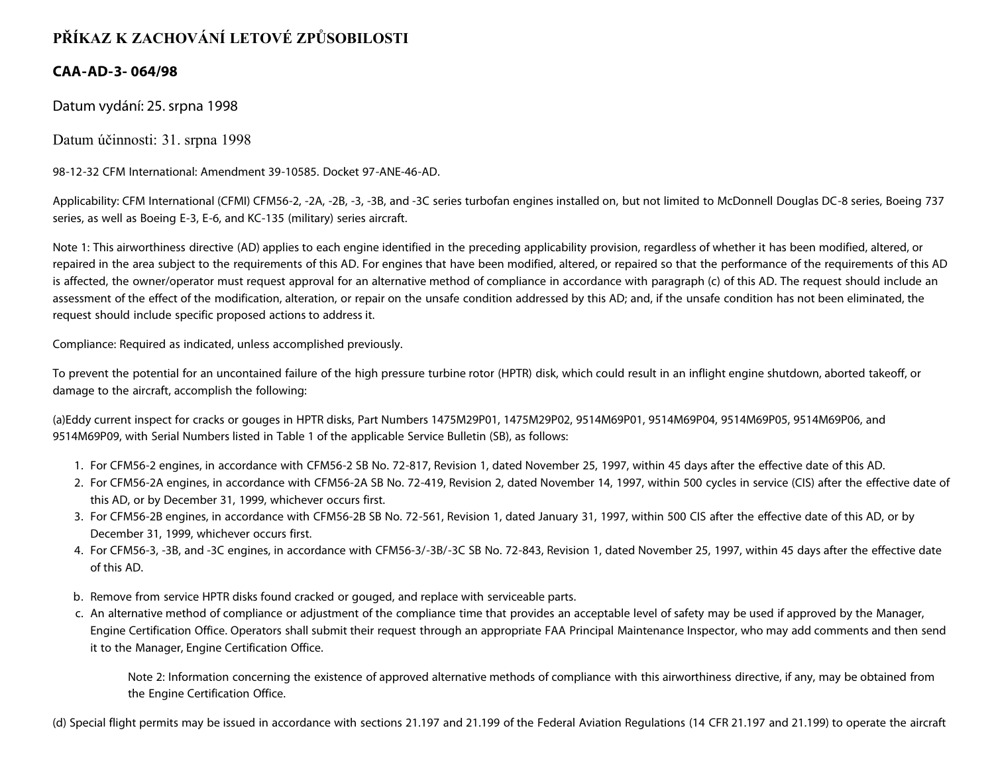## **PŘÍKAZ K ZACHOVÁNÍ LETOVÉ ZPŮSOBILOSTI**

## **CAA-AD-3- 064/98**

Datum vydání: 25. srpna 1998

Datum účinnosti: 31. srpna 1998

98-12-32 CFM International: Amendment 39-10585. Docket 97-ANE-46-AD.

Applicability: CFM International (CFMI) CFM56-2, -2A, -2B, -3, -3B, and -3C series turbofan engines installed on, but not limited to McDonnell Douglas DC-8 series, Boeing 737 series, as well as Boeing E-3, E-6, and KC-135 (military) series aircraft.

Note 1: This airworthiness directive (AD) applies to each engine identified in the preceding applicability provision, regardless of whether it has been modified, altered, or repaired in the area subject to the requirements of this AD. For engines that have been modified, altered, or repaired so that the performance of the requirements of this AD is affected, the owner/operator must request approval for an alternative method of compliance in accordance with paragraph (c) of this AD. The request should include an assessment of the effect of the modification, alteration, or repair on the unsafe condition addressed by this AD; and, if the unsafe condition has not been eliminated, the request should include specific proposed actions to address it.

Compliance: Required as indicated, unless accomplished previously.

To prevent the potential for an uncontained failure of the high pressure turbine rotor (HPTR) disk, which could result in an inflight engine shutdown, aborted takeoff, or damage to the aircraft, accomplish the following:

(a)Eddy current inspect for cracks or gouges in HPTR disks, Part Numbers 1475M29P01, 1475M29P02, 9514M69P01, 9514M69P04, 9514M69P05, 9514M69P06, and 9514M69P09, with Serial Numbers listed in Table 1 of the applicable Service Bulletin (SB), as follows:

- 1. For CFM56-2 engines, in accordance with CFM56-2 SB No. 72-817, Revision 1, dated November 25, 1997, within 45 days after the effective date of this AD.
- 2. For CFM56-2A engines, in accordance with CFM56-2A SB No. 72-419, Revision 2, dated November 14, 1997, within 500 cycles in service (CIS) after the effective date of this AD, or by December 31, 1999, whichever occurs first.
- 3. For CFM56-2B engines, in accordance with CFM56-2B SB No. 72-561, Revision 1, dated January 31, 1997, within 500 CIS after the effective date of this AD, or by December 31, 1999, whichever occurs first.
- 4. For CFM56-3, -3B, and -3C engines, in accordance with CFM56-3/-3B/-3C SB No. 72-843, Revision 1, dated November 25, 1997, within 45 days after the effective date of this AD.
- b. Remove from service HPTR disks found cracked or gouged, and replace with serviceable parts.
- c. An alternative method of compliance or adjustment of the compliance time that provides an acceptable level of safety may be used if approved by the Manager, Engine Certification Office. Operators shall submit their request through an appropriate FAA Principal Maintenance Inspector, who may add comments and then send it to the Manager, Engine Certification Office.

Note 2: Information concerning the existence of approved alternative methods of compliance with this airworthiness directive, if any, may be obtained from the Engine Certification Office.

(d) Special flight permits may be issued in accordance with sections 21.197 and 21.199 of the Federal Aviation Regulations (14 CFR 21.197 and 21.199) to operate the aircraft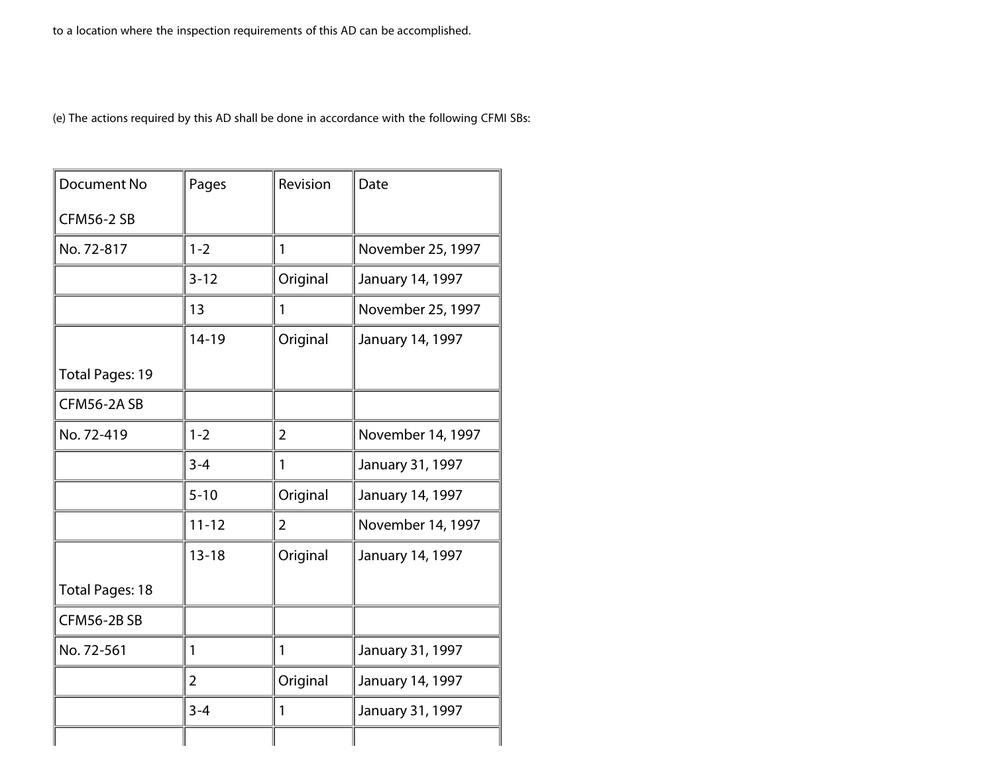(e) The actions required by this AD shall be done in accordance with the following CFMI SBs:

| Document No            | Pages        | Revision       | Date              |
|------------------------|--------------|----------------|-------------------|
| <b>CFM56-2 SB</b>      |              |                |                   |
| No. 72-817             | $1 - 2$      | 1              | November 25, 1997 |
|                        | $3 - 12$     | Original       | January 14, 1997  |
|                        | 13           | 1              | November 25, 1997 |
|                        | $14 - 19$    | Original       | January 14, 1997  |
| <b>Total Pages: 19</b> |              |                |                   |
| CFM56-2ASB             |              |                |                   |
| No. 72-419             | $1 - 2$      | $\overline{2}$ | November 14, 1997 |
|                        | $3 - 4$      | 1              | January 31, 1997  |
|                        | $5 - 10$     | Original       | January 14, 1997  |
|                        | $11 - 12$    | 2              | November 14, 1997 |
|                        | $13 - 18$    | Original       | January 14, 1997  |
| <b>Total Pages: 18</b> |              |                |                   |
| <b>CFM56-2BSB</b>      |              |                |                   |
| No. 72-561             | $\mathbf{1}$ | 1              | January 31, 1997  |
|                        | 2            | Original       | January 14, 1997  |
|                        | $3 - 4$      | 1              | January 31, 1997  |
|                        |              |                |                   |